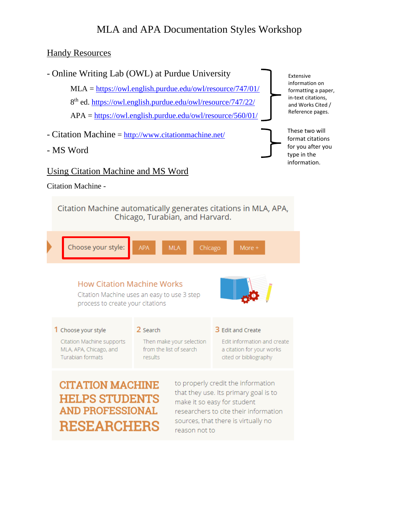# MLA and APA Documentation Styles Workshop

### **Handy Resources**



- MS Word

### and Works Cited / Reference pages. These two will format citations for you after you

type in the information.

Extensive information on formatting a paper, in-text citations,

#### Using Citation Machine and MS Word

Citation Machine -

Citation Machine automatically generates citations in MLA, APA, Chicago, Turabian, and Harvard.

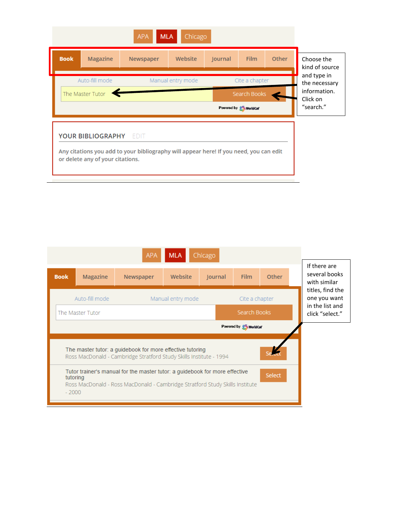

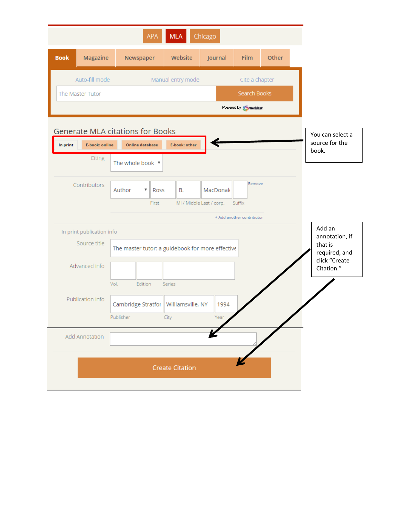| Auto-fill mode<br>Manual entry mode<br>Cite a chapter<br>Search Books<br>The Master Tutor<br>Powered by <b>Convertision</b><br>Generate MLA citations for Books<br>E-book: other<br><b>Online database</b><br>In print<br>E-book: online<br>book.<br>Citing<br>The whole book ▼<br>Remove<br>Contributors<br>Author<br><b>B.</b><br>MacDonal<br>$\boldsymbol{\mathrm{v}}$<br>Ross<br>MI / Middle Last / corp.<br>Suffix<br>First<br>+ Add another contributor<br>In print publication info<br>annotation, if<br>Source title<br>The master tutor: a guidebook for more effective<br>required, and<br>Advanced info<br>Citation."<br>Vol.<br>Edition<br>Series<br>Publication info<br>Cambridge Stratfor<br>Williamsville, NY<br>1994<br>Publisher<br>City<br>Year<br>Add Annotation |                                    | Other | Film | Journal | Website | Newspaper | Magazine | <b>Book</b> |
|-------------------------------------------------------------------------------------------------------------------------------------------------------------------------------------------------------------------------------------------------------------------------------------------------------------------------------------------------------------------------------------------------------------------------------------------------------------------------------------------------------------------------------------------------------------------------------------------------------------------------------------------------------------------------------------------------------------------------------------------------------------------------------------|------------------------------------|-------|------|---------|---------|-----------|----------|-------------|
|                                                                                                                                                                                                                                                                                                                                                                                                                                                                                                                                                                                                                                                                                                                                                                                     |                                    |       |      |         |         |           |          |             |
|                                                                                                                                                                                                                                                                                                                                                                                                                                                                                                                                                                                                                                                                                                                                                                                     |                                    |       |      |         |         |           |          |             |
|                                                                                                                                                                                                                                                                                                                                                                                                                                                                                                                                                                                                                                                                                                                                                                                     |                                    |       |      |         |         |           |          |             |
|                                                                                                                                                                                                                                                                                                                                                                                                                                                                                                                                                                                                                                                                                                                                                                                     |                                    |       |      |         |         |           |          |             |
|                                                                                                                                                                                                                                                                                                                                                                                                                                                                                                                                                                                                                                                                                                                                                                                     | You can select a<br>source for the |       |      |         |         |           |          |             |
|                                                                                                                                                                                                                                                                                                                                                                                                                                                                                                                                                                                                                                                                                                                                                                                     |                                    |       |      |         |         |           |          |             |
|                                                                                                                                                                                                                                                                                                                                                                                                                                                                                                                                                                                                                                                                                                                                                                                     |                                    |       |      |         |         |           |          |             |
|                                                                                                                                                                                                                                                                                                                                                                                                                                                                                                                                                                                                                                                                                                                                                                                     |                                    |       |      |         |         |           |          |             |
|                                                                                                                                                                                                                                                                                                                                                                                                                                                                                                                                                                                                                                                                                                                                                                                     |                                    |       |      |         |         |           |          |             |
|                                                                                                                                                                                                                                                                                                                                                                                                                                                                                                                                                                                                                                                                                                                                                                                     |                                    |       |      |         |         |           |          |             |
|                                                                                                                                                                                                                                                                                                                                                                                                                                                                                                                                                                                                                                                                                                                                                                                     | Add an                             |       |      |         |         |           |          |             |
|                                                                                                                                                                                                                                                                                                                                                                                                                                                                                                                                                                                                                                                                                                                                                                                     | that is                            |       |      |         |         |           |          |             |
|                                                                                                                                                                                                                                                                                                                                                                                                                                                                                                                                                                                                                                                                                                                                                                                     | click "Create                      |       |      |         |         |           |          |             |
|                                                                                                                                                                                                                                                                                                                                                                                                                                                                                                                                                                                                                                                                                                                                                                                     |                                    |       |      |         |         |           |          |             |
|                                                                                                                                                                                                                                                                                                                                                                                                                                                                                                                                                                                                                                                                                                                                                                                     |                                    |       |      |         |         |           |          |             |
|                                                                                                                                                                                                                                                                                                                                                                                                                                                                                                                                                                                                                                                                                                                                                                                     |                                    |       |      |         |         |           |          |             |
|                                                                                                                                                                                                                                                                                                                                                                                                                                                                                                                                                                                                                                                                                                                                                                                     |                                    |       |      |         |         |           |          |             |
|                                                                                                                                                                                                                                                                                                                                                                                                                                                                                                                                                                                                                                                                                                                                                                                     |                                    |       |      |         |         |           |          |             |
|                                                                                                                                                                                                                                                                                                                                                                                                                                                                                                                                                                                                                                                                                                                                                                                     |                                    |       |      |         |         |           |          |             |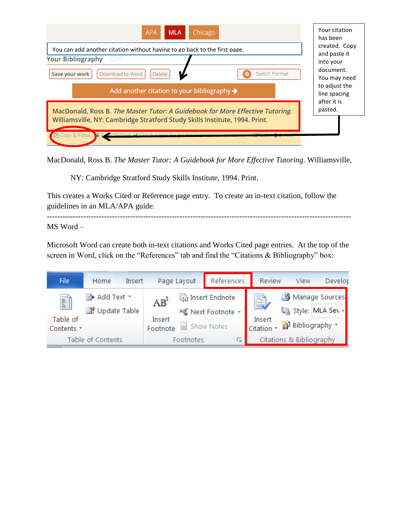

MacDonald, Ross B. *The Master Tutor: A Guidebook for More Effective Tutoring*. Williamsville,

NY: Cambridge Stratford Study Skills Institute, 1994. Print.

This creates a Works Cited or Reference page entry. To create an in-text citation, follow the guidelines in an MLA/APA guide.

MS Word –

Microsoft Word can create both in-text citations and Works Cited page entries. At the top of the screen in Word, click on the "References" tab and find the "Citations & Bibliography" box:

---------------------------------------------------------------------------------------------------------------------

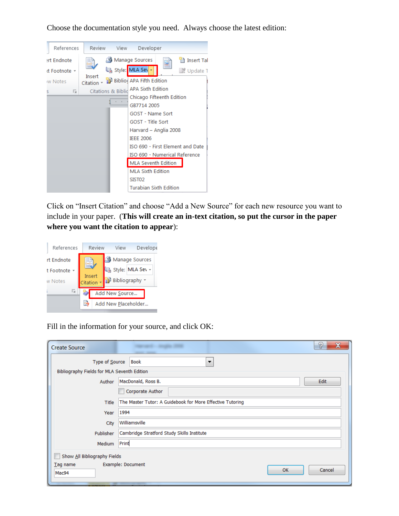| References   | Review             | View                          | Developer                            |  |                                  |
|--------------|--------------------|-------------------------------|--------------------------------------|--|----------------------------------|
| ert Endnote  | [] -               |                               | Manage Sources                       |  | insert Tal                       |
| d Footnote - |                    |                               | La Style: MLA Sev -                  |  | ■ Update T                       |
| w Notes      | Insert<br>Citation |                               | <b>Bill Biblio APA Fifth Edition</b> |  |                                  |
| 匠<br>s       |                    | <b>Citations &amp; Biblid</b> | <b>APA Sixth Edition</b>             |  |                                  |
|              |                    |                               | Chicago Fifteenth Edition            |  |                                  |
|              |                    |                               | GB7714 2005                          |  |                                  |
|              |                    |                               | GOST - Name Sort                     |  |                                  |
|              |                    |                               | GOST - Title Sort                    |  |                                  |
|              |                    |                               | Harvard - Anglia 2008                |  |                                  |
|              |                    |                               | <b>IEEE 2006</b>                     |  |                                  |
|              |                    |                               |                                      |  | ISO 690 - First Element and Date |
|              |                    |                               | ISO 690 - Numerical Reference        |  |                                  |
|              |                    |                               | <b>MLA Seventh Edition</b>           |  |                                  |
|              |                    |                               | <b>MLA Sixth Edition</b>             |  |                                  |
|              |                    |                               | SIST <sub>02</sub>                   |  |                                  |
|              |                    |                               | Turabian Sixth Edition               |  |                                  |

Choose the documentation style you need. Always choose the latest edition:

Click on "Insert Citation" and choose "Add a New Source" for each new resource you want to include in your paper. (**This will create an in-text citation, so put the cursor in the paper where you want the citation to appear**):

| Review                   | <b>Develope</b><br>View |  |  |  |
|--------------------------|-------------------------|--|--|--|
|                          | Manage Sources          |  |  |  |
|                          | Style: MLA Sev -        |  |  |  |
| Citation                 | Bibliography            |  |  |  |
|                          | Add New Source          |  |  |  |
| 國<br>Add New Placeholder |                         |  |  |  |
|                          | Insert                  |  |  |  |

Fill in the information for your source, and click OK:

| <b>Create Source</b>                                     | ?<br>__                                                   |  |  |  |  |  |  |
|----------------------------------------------------------|-----------------------------------------------------------|--|--|--|--|--|--|
| Type of Source<br>Book<br>$\overline{\phantom{a}}$       |                                                           |  |  |  |  |  |  |
| Bibliography Fields for MLA Seventh Edition              |                                                           |  |  |  |  |  |  |
| Author                                                   | MacDonald, Ross B.<br>Edit                                |  |  |  |  |  |  |
|                                                          | Corporate Author                                          |  |  |  |  |  |  |
| Title                                                    | The Master Tutor: A Guidebook for More Effective Tutoring |  |  |  |  |  |  |
| Year                                                     | 1994                                                      |  |  |  |  |  |  |
| City                                                     | Williamsville                                             |  |  |  |  |  |  |
| Cambridge Stratford Study Skills Institute<br>Publisher  |                                                           |  |  |  |  |  |  |
| Medium                                                   | Print                                                     |  |  |  |  |  |  |
| Show All Bibliography Fields                             |                                                           |  |  |  |  |  |  |
| Example: Document<br>$Iag$ name<br>Cancel<br>OK<br>Mac94 |                                                           |  |  |  |  |  |  |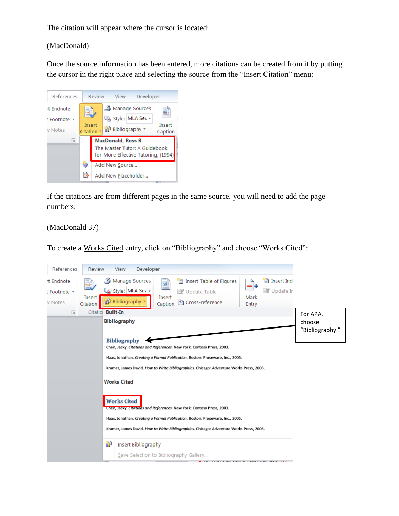The citation will appear where the cursor is located:

(MacDonald)

Once the source information has been entered, more citations can be created from it by putting the cursor in the right place and selecting the source from the "Insert Citation" menu:



If the citations are from different pages in the same source, you will need to add the page numbers:

(MacDonald 37)

To create a Works Cited entry, click on "Bibliography" and choose "Works Cited":

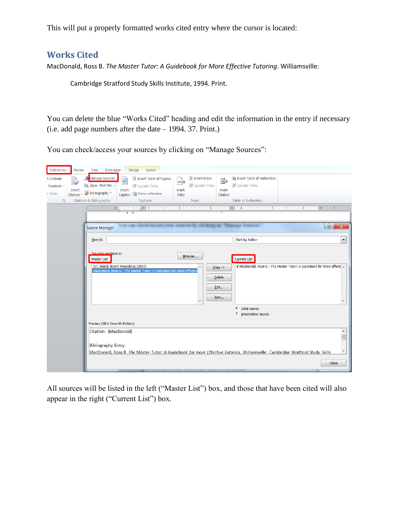This will put a properly formatted works cited entry where the cursor is located:

# **Works Cited**

MacDonald, Ross B. *The Master Tutor: A Guidebook for More Effective Tutoring*. Williamsville:

Cambridge Stratford Study Skills Institute, 1994. Print.

You can delete the blue "Works Cited" heading and edit the information in the entry if necessary (i.e. add page numbers after the date – 1994. 37. Print.)

You can check/access your sources by clicking on "Manage Sources":

| References<br>t Endnote<br>Footnote -<br>v Notes<br>$\overline{\mathbb{F}_2}$ | Review<br>Insert<br>Citation   | Developer<br>View<br>Manage Sources<br>Style: MLA Sev -<br>Bibliography *<br>Citations & Bibliography | Design<br>Layout<br>Insert Table of Figures<br>Update Table<br>Insert<br>Caption <sup>16</sup> Cross-reference<br>Captions | -0<br>Mark<br>Entry | Insert Index<br>Vpdate Index<br>Index | $\mathbb{Z}_+$<br>Mark<br>Citation | Insert Table of Authorities<br><b>III</b> Update Table<br>Table of Authorities                                                |                                                                      |                                                                |
|-------------------------------------------------------------------------------|--------------------------------|-------------------------------------------------------------------------------------------------------|----------------------------------------------------------------------------------------------------------------------------|---------------------|---------------------------------------|------------------------------------|-------------------------------------------------------------------------------------------------------------------------------|----------------------------------------------------------------------|----------------------------------------------------------------|
|                                                                               |                                | Control of the Control Com-<br><b>Source Manager</b><br>Search:                                       | ・・・ 1 × 人亜  1 ・ ・ ・ 1 × ・ ・ 2 ・ ・ ・ 1 ・ ・ ・ 3 ・ ・ ・ 1 ・                                                                    |                     |                                       |                                    | E<br>$+4$ + + + + + + + $5$ + + +<br>Sort by Author                                                                           | -6<br>and a state                                                    | <b>III: ・・ファ・・</b><br>?<br>$\mathbf x$<br>$\blacktriangledown$ |
|                                                                               |                                | Sources available in:<br>Master List                                                                  | IVC Board; Board Procedings (2010)<br>MacDonald, Ross B.: The Master Tutor: A Guidebook for more Effecti                   |                     | Browse                                | $Copy$ -><br>Delete<br>Edit<br>New | <b>Current List</b>                                                                                                           | V MacDonald, Ross B.; The Master Tutor: A Guidebook for More Effecti |                                                                |
|                                                                               |                                |                                                                                                       |                                                                                                                            |                     |                                       |                                    | v<br>cited source<br>?<br>placeholder source                                                                                  |                                                                      |                                                                |
|                                                                               | Preview (MLA Seventh Edition): |                                                                                                       |                                                                                                                            |                     |                                       |                                    |                                                                                                                               |                                                                      |                                                                |
|                                                                               |                                | Citation: (MacDonald)<br><b>Bibliography Entry:</b>                                                   |                                                                                                                            |                     |                                       |                                    | MacDonald, Ross B. The Master Tutor: A Guidebook for more Effective Tutoring. Williamsville: Cambridge Stratford Study Skills |                                                                      | ۸<br>E                                                         |
|                                                                               |                                |                                                                                                       |                                                                                                                            |                     |                                       |                                    |                                                                                                                               |                                                                      | <b>Close</b>                                                   |

All sources will be listed in the left ("Master List") box, and those that have been cited will also appear in the right ("Current List") box.